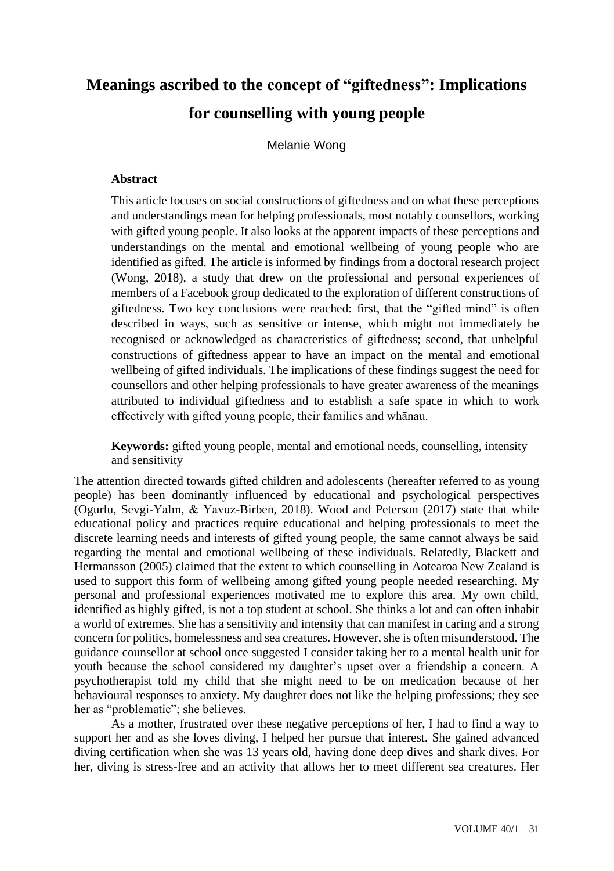# **Meanings ascribed to the concept of "giftedness": Implications for counselling with young people**

Melanie Wong

# **Abstract**

This article focuses on social constructions of giftedness and on what these perceptions and understandings mean for helping professionals, most notably counsellors, working with gifted young people. It also looks at the apparent impacts of these perceptions and understandings on the mental and emotional wellbeing of young people who are identified as gifted. The article is informed by findings from a doctoral research project (Wong, 2018), a study that drew on the professional and personal experiences of members of a Facebook group dedicated to the exploration of different constructions of giftedness. Two key conclusions were reached: first, that the "gifted mind" is often described in ways, such as sensitive or intense, which might not immediately be recognised or acknowledged as characteristics of giftedness; second, that unhelpful constructions of giftedness appear to have an impact on the mental and emotional wellbeing of gifted individuals. The implications of these findings suggest the need for counsellors and other helping professionals to have greater awareness of the meanings attributed to individual giftedness and to establish a safe space in which to work effectively with gifted young people, their families and whānau.

**Keywords:** gifted young people, mental and emotional needs, counselling, intensity and sensitivity

The attention directed towards gifted children and adolescents (hereafter referred to as young people) has been dominantly influenced by educational and psychological perspectives (Ogurlu, Sevgi-Yalın, & Yavuz-Birben, 2018). Wood and Peterson (2017) state that while educational policy and practices require educational and helping professionals to meet the discrete learning needs and interests of gifted young people, the same cannot always be said regarding the mental and emotional wellbeing of these individuals. Relatedly, Blackett and Hermansson (2005) claimed that the extent to which counselling in Aotearoa New Zealand is used to support this form of wellbeing among gifted young people needed researching. My personal and professional experiences motivated me to explore this area. My own child, identified as highly gifted, is not a top student at school. She thinks a lot and can often inhabit a world of extremes. She has a sensitivity and intensity that can manifest in caring and a strong concern for politics, homelessness and sea creatures. However, she is often misunderstood. The guidance counsellor at school once suggested I consider taking her to a mental health unit for youth because the school considered my daughter's upset over a friendship a concern. A psychotherapist told my child that she might need to be on medication because of her behavioural responses to anxiety. My daughter does not like the helping professions; they see her as "problematic"; she believes.

As a mother, frustrated over these negative perceptions of her, I had to find a way to support her and as she loves diving, I helped her pursue that interest. She gained advanced diving certification when she was 13 years old, having done deep dives and shark dives. For her, diving is stress-free and an activity that allows her to meet different sea creatures. Her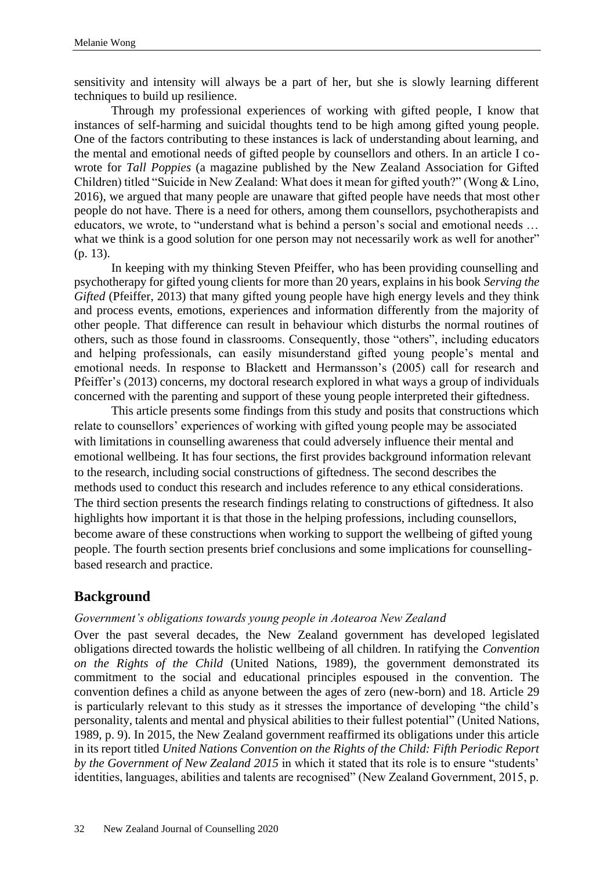sensitivity and intensity will always be a part of her, but she is slowly learning different techniques to build up resilience.

Through my professional experiences of working with gifted people, I know that instances of self-harming and suicidal thoughts tend to be high among gifted young people. One of the factors contributing to these instances is lack of understanding about learning, and the mental and emotional needs of gifted people by counsellors and others. In an article I cowrote for *Tall Poppies* (a magazine published by the New Zealand Association for Gifted Children) titled "Suicide in New Zealand: What does it mean for gifted youth?" (Wong & Lino, 2016), we argued that many people are unaware that gifted people have needs that most other people do not have. There is a need for others, among them counsellors, psychotherapists and educators, we wrote, to "understand what is behind a person's social and emotional needs … what we think is a good solution for one person may not necessarily work as well for another" (p. 13).

In keeping with my thinking Steven Pfeiffer, who has been providing counselling and psychotherapy for gifted young clients for more than 20 years, explains in his book *Serving the Gifted* (Pfeiffer, 2013) that many gifted young people have high energy levels and they think and process events, emotions, experiences and information differently from the majority of other people. That difference can result in behaviour which disturbs the normal routines of others, such as those found in classrooms. Consequently, those "others", including educators and helping professionals, can easily misunderstand gifted young people's mental and emotional needs. In response to Blackett and Hermansson's (2005) call for research and Pfeiffer's (2013) concerns, my doctoral research explored in what ways a group of individuals concerned with the parenting and support of these young people interpreted their giftedness.

This article presents some findings from this study and posits that constructions which relate to counsellors' experiences of working with gifted young people may be associated with limitations in counselling awareness that could adversely influence their mental and emotional wellbeing. It has four sections, the first provides background information relevant to the research, including social constructions of giftedness. The second describes the methods used to conduct this research and includes reference to any ethical considerations. The third section presents the research findings relating to constructions of giftedness. It also highlights how important it is that those in the helping professions, including counsellors, become aware of these constructions when working to support the wellbeing of gifted young people. The fourth section presents brief conclusions and some implications for counsellingbased research and practice.

# **Background**

#### *Government's obligations towards young people in Aotearoa New Zealand*

Over the past several decades, the New Zealand government has developed legislated obligations directed towards the holistic wellbeing of all children. In ratifying the *Convention on the Rights of the Child* (United Nations, 1989), the government demonstrated its commitment to the social and educational principles espoused in the convention. The convention defines a child as anyone between the ages of zero (new-born) and 18. Article 29 is particularly relevant to this study as it stresses the importance of developing "the child's personality, talents and mental and physical abilities to their fullest potential" (United Nations, 1989, p. 9). In 2015, the New Zealand government reaffirmed its obligations under this article in its report titled *United Nations Convention on the Rights of the Child: Fifth Periodic Report by the Government of New Zealand 2015* in which it stated that its role is to ensure "students' identities, languages, abilities and talents are recognised" (New Zealand Government, 2015, p.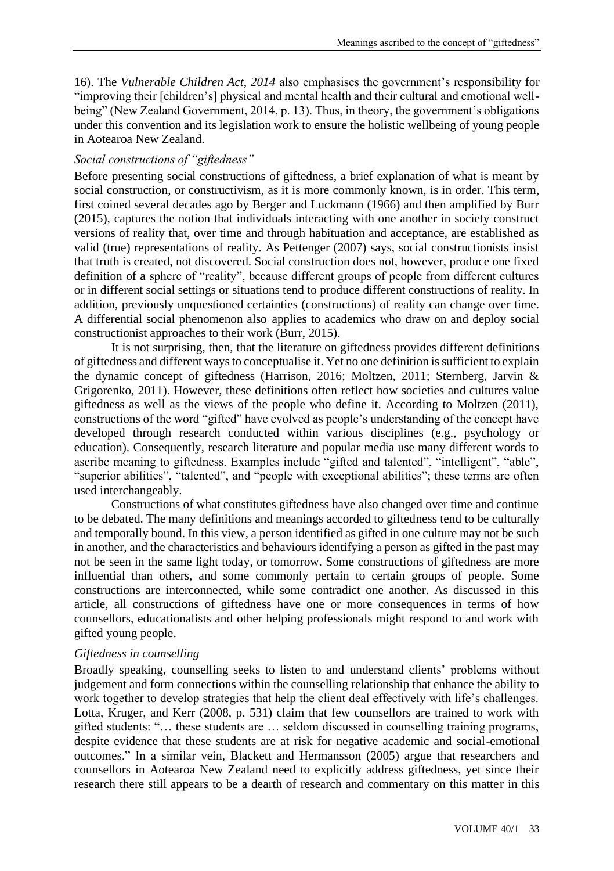16). The *Vulnerable Children Act, 2014* also emphasises the government's responsibility for "improving their [children's] physical and mental health and their cultural and emotional wellbeing" (New Zealand Government, 2014, p. 13). Thus, in theory, the government's obligations under this convention and its legislation work to ensure the holistic wellbeing of young people in Aotearoa New Zealand.

# *Social constructions of "giftedness"*

Before presenting social constructions of giftedness, a brief explanation of what is meant by social construction, or constructivism, as it is more commonly known, is in order. This term, first coined several decades ago by Berger and Luckmann (1966) and then amplified by Burr (2015), captures the notion that individuals interacting with one another in society construct versions of reality that, over time and through habituation and acceptance, are established as valid (true) representations of reality. As Pettenger (2007) says, social constructionists insist that truth is created, not discovered. Social construction does not, however, produce one fixed definition of a sphere of "reality", because different groups of people from different cultures or in different social settings or situations tend to produce different constructions of reality. In addition, previously unquestioned certainties (constructions) of reality can change over time. A differential social phenomenon also applies to academics who draw on and deploy social constructionist approaches to their work (Burr, 2015).

It is not surprising, then, that the literature on giftedness provides different definitions of giftedness and different ways to conceptualise it. Yet no one definition is sufficient to explain the dynamic concept of giftedness (Harrison, 2016; Moltzen, 2011; Sternberg, Jarvin & Grigorenko, 2011). However, these definitions often reflect how societies and cultures value giftedness as well as the views of the people who define it. According to Moltzen (2011), constructions of the word "gifted" have evolved as people's understanding of the concept have developed through research conducted within various disciplines (e.g., psychology or education). Consequently, research literature and popular media use many different words to ascribe meaning to giftedness. Examples include "gifted and talented", "intelligent", "able", "superior abilities", "talented", and "people with exceptional abilities"; these terms are often used interchangeably.

Constructions of what constitutes giftedness have also changed over time and continue to be debated. The many definitions and meanings accorded to giftedness tend to be culturally and temporally bound. In this view, a person identified as gifted in one culture may not be such in another, and the characteristics and behaviours identifying a person as gifted in the past may not be seen in the same light today, or tomorrow. Some constructions of giftedness are more influential than others, and some commonly pertain to certain groups of people. Some constructions are interconnected, while some contradict one another. As discussed in this article, all constructions of giftedness have one or more consequences in terms of how counsellors, educationalists and other helping professionals might respond to and work with gifted young people.

## *Giftedness in counselling*

Broadly speaking, counselling seeks to listen to and understand clients' problems without judgement and form connections within the counselling relationship that enhance the ability to work together to develop strategies that help the client deal effectively with life's challenges. Lotta, Kruger, and Kerr (2008, p. 531) claim that few counsellors are trained to work with gifted students: "… these students are … seldom discussed in counselling training programs, despite evidence that these students are at risk for negative academic and social-emotional outcomes." In a similar vein, Blackett and Hermansson (2005) argue that researchers and counsellors in Aotearoa New Zealand need to explicitly address giftedness, yet since their research there still appears to be a dearth of research and commentary on this matter in this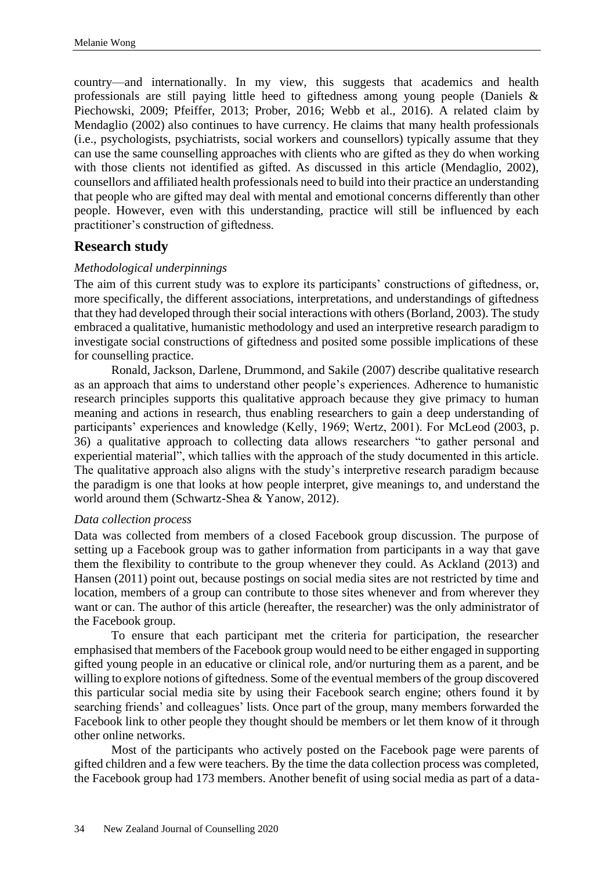country—and internationally. In my view, this suggests that academics and health professionals are still paying little heed to giftedness among young people (Daniels & Piechowski, 2009; Pfeiffer, 2013; Prober, 2016; Webb et al., 2016). A related claim by Mendaglio (2002) also continues to have currency. He claims that many health professionals (i.e., psychologists, psychiatrists, social workers and counsellors) typically assume that they can use the same counselling approaches with clients who are gifted as they do when working with those clients not identified as gifted. As discussed in this article (Mendaglio, 2002), counsellors and affiliated health professionals need to build into their practice an understanding that people who are gifted may deal with mental and emotional concerns differently than other people. However, even with this understanding, practice will still be influenced by each practitioner's construction of giftedness.

# **Research study**

## *Methodological underpinnings*

The aim of this current study was to explore its participants' constructions of giftedness, or, more specifically, the different associations, interpretations, and understandings of giftedness that they had developed through their social interactions with others (Borland, 2003). The study embraced a qualitative, humanistic methodology and used an interpretive research paradigm to investigate social constructions of giftedness and posited some possible implications of these for counselling practice.

Ronald, Jackson, Darlene, Drummond, and Sakile (2007) describe qualitative research as an approach that aims to understand other people's experiences. Adherence to humanistic research principles supports this qualitative approach because they give primacy to human meaning and actions in research, thus enabling researchers to gain a deep understanding of participants' experiences and knowledge (Kelly, 1969; Wertz, 2001). For McLeod (2003, p. 36) a qualitative approach to collecting data allows researchers "to gather personal and experiential material", which tallies with the approach of the study documented in this article. The qualitative approach also aligns with the study's interpretive research paradigm because the paradigm is one that looks at how people interpret, give meanings to, and understand the world around them (Schwartz-Shea & Yanow, 2012).

#### *Data collection process*

Data was collected from members of a closed Facebook group discussion. The purpose of setting up a Facebook group was to gather information from participants in a way that gave them the flexibility to contribute to the group whenever they could. As Ackland (2013) and Hansen (2011) point out, because postings on social media sites are not restricted by time and location, members of a group can contribute to those sites whenever and from wherever they want or can. The author of this article (hereafter, the researcher) was the only administrator of the Facebook group.

To ensure that each participant met the criteria for participation, the researcher emphasised that members of the Facebook group would need to be either engaged in supporting gifted young people in an educative or clinical role, and/or nurturing them as a parent, and be willing to explore notions of giftedness. Some of the eventual members of the group discovered this particular social media site by using their Facebook search engine; others found it by searching friends' and colleagues' lists. Once part of the group, many members forwarded the Facebook link to other people they thought should be members or let them know of it through other online networks.

Most of the participants who actively posted on the Facebook page were parents of gifted children and a few were teachers. By the time the data collection process was completed, the Facebook group had 173 members. Another benefit of using social media as part of a data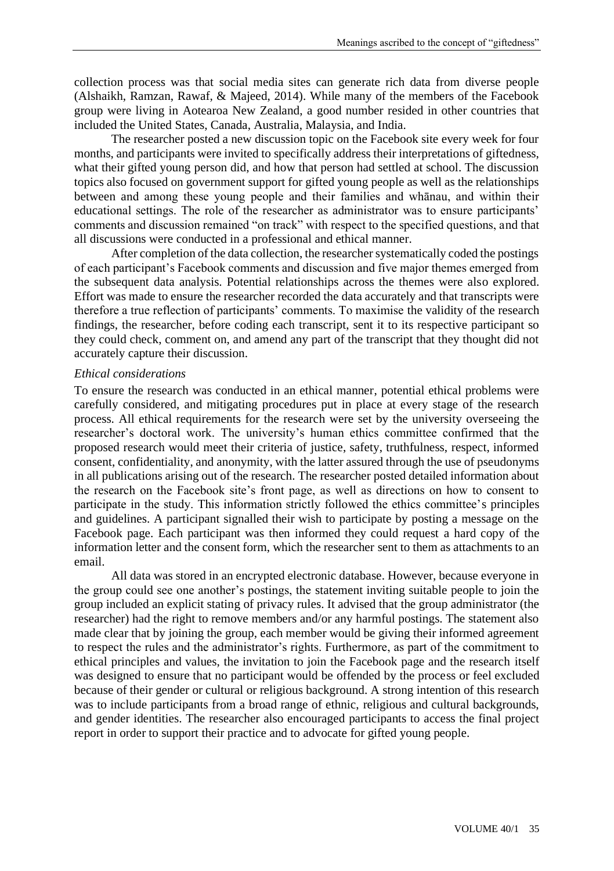collection process was that social media sites can generate rich data from diverse people (Alshaikh, Ramzan, Rawaf, & Majeed, 2014). While many of the members of the Facebook group were living in Aotearoa New Zealand, a good number resided in other countries that included the United States, Canada, Australia, Malaysia, and India.

The researcher posted a new discussion topic on the Facebook site every week for four months, and participants were invited to specifically address their interpretations of giftedness, what their gifted young person did, and how that person had settled at school. The discussion topics also focused on government support for gifted young people as well as the relationships between and among these young people and their families and whānau, and within their educational settings. The role of the researcher as administrator was to ensure participants' comments and discussion remained "on track" with respect to the specified questions, and that all discussions were conducted in a professional and ethical manner.

After completion of the data collection, the researcher systematically coded the postings of each participant's Facebook comments and discussion and five major themes emerged from the subsequent data analysis. Potential relationships across the themes were also explored. Effort was made to ensure the researcher recorded the data accurately and that transcripts were therefore a true reflection of participants' comments. To maximise the validity of the research findings, the researcher, before coding each transcript, sent it to its respective participant so they could check, comment on, and amend any part of the transcript that they thought did not accurately capture their discussion.

#### *Ethical considerations*

To ensure the research was conducted in an ethical manner, potential ethical problems were carefully considered, and mitigating procedures put in place at every stage of the research process. All ethical requirements for the research were set by the university overseeing the researcher's doctoral work. The university's human ethics committee confirmed that the proposed research would meet their criteria of justice, safety, truthfulness, respect, informed consent, confidentiality, and anonymity, with the latter assured through the use of pseudonyms in all publications arising out of the research. The researcher posted detailed information about the research on the Facebook site's front page, as well as directions on how to consent to participate in the study. This information strictly followed the ethics committee's principles and guidelines. A participant signalled their wish to participate by posting a message on the Facebook page. Each participant was then informed they could request a hard copy of the information letter and the consent form, which the researcher sent to them as attachments to an email.

All data was stored in an encrypted electronic database. However, because everyone in the group could see one another's postings, the statement inviting suitable people to join the group included an explicit stating of privacy rules. It advised that the group administrator (the researcher) had the right to remove members and/or any harmful postings. The statement also made clear that by joining the group, each member would be giving their informed agreement to respect the rules and the administrator's rights. Furthermore, as part of the commitment to ethical principles and values, the invitation to join the Facebook page and the research itself was designed to ensure that no participant would be offended by the process or feel excluded because of their gender or cultural or religious background. A strong intention of this research was to include participants from a broad range of ethnic, religious and cultural backgrounds, and gender identities. The researcher also encouraged participants to access the final project report in order to support their practice and to advocate for gifted young people.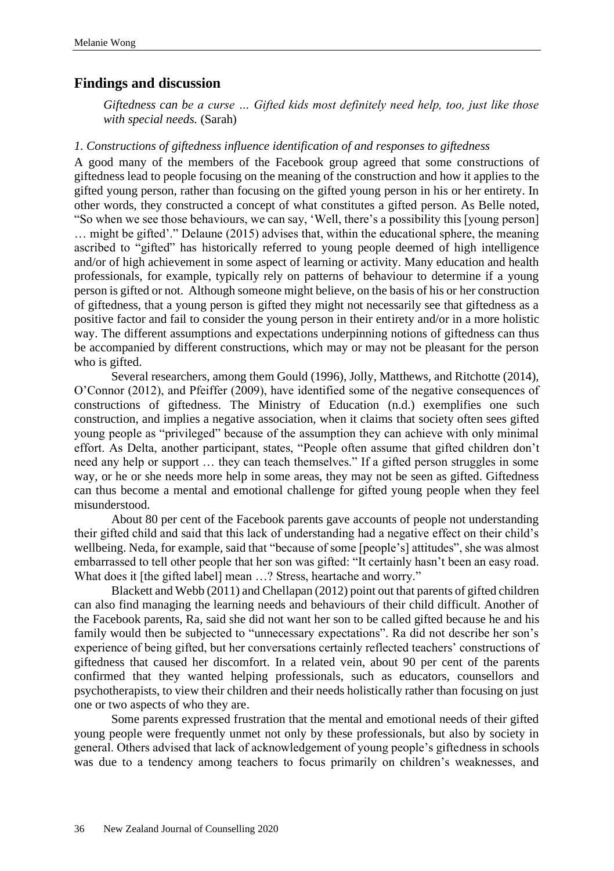# **Findings and discussion**

*Giftedness can be a curse … Gifted kids most definitely need help, too, just like those with special needs.* (Sarah)

#### *1. Constructions of giftedness influence identification of and responses to giftedness*

A good many of the members of the Facebook group agreed that some constructions of giftedness lead to people focusing on the meaning of the construction and how it applies to the gifted young person, rather than focusing on the gifted young person in his or her entirety. In other words, they constructed a concept of what constitutes a gifted person. As Belle noted, "So when we see those behaviours, we can say, 'Well, there's a possibility this [young person] … might be gifted'." Delaune (2015) advises that, within the educational sphere, the meaning ascribed to "gifted" has historically referred to young people deemed of high intelligence and/or of high achievement in some aspect of learning or activity. Many education and health professionals, for example, typically rely on patterns of behaviour to determine if a young person is gifted or not. Although someone might believe, on the basis of his or her construction of giftedness, that a young person is gifted they might not necessarily see that giftedness as a positive factor and fail to consider the young person in their entirety and/or in a more holistic way. The different assumptions and expectations underpinning notions of giftedness can thus be accompanied by different constructions, which may or may not be pleasant for the person who is gifted.

Several researchers, among them Gould (1996), Jolly, Matthews, and Ritchotte (2014), O'Connor (2012), and Pfeiffer (2009), have identified some of the negative consequences of constructions of giftedness. The Ministry of Education (n.d.) exemplifies one such construction, and implies a negative association, when it claims that society often sees gifted young people as "privileged" because of the assumption they can achieve with only minimal effort. As Delta, another participant, states, "People often assume that gifted children don't need any help or support … they can teach themselves." If a gifted person struggles in some way, or he or she needs more help in some areas, they may not be seen as gifted. Giftedness can thus become a mental and emotional challenge for gifted young people when they feel misunderstood.

About 80 per cent of the Facebook parents gave accounts of people not understanding their gifted child and said that this lack of understanding had a negative effect on their child's wellbeing. Neda, for example, said that "because of some [people's] attitudes", she was almost embarrassed to tell other people that her son was gifted: "It certainly hasn't been an easy road. What does it [the gifted label] mean …? Stress, heartache and worry."

Blackett and Webb (2011) and Chellapan (2012) point out that parents of gifted children can also find managing the learning needs and behaviours of their child difficult. Another of the Facebook parents, Ra, said she did not want her son to be called gifted because he and his family would then be subjected to "unnecessary expectations". Ra did not describe her son's experience of being gifted, but her conversations certainly reflected teachers' constructions of giftedness that caused her discomfort. In a related vein, about 90 per cent of the parents confirmed that they wanted helping professionals, such as educators, counsellors and psychotherapists, to view their children and their needs holistically rather than focusing on just one or two aspects of who they are.

Some parents expressed frustration that the mental and emotional needs of their gifted young people were frequently unmet not only by these professionals, but also by society in general. Others advised that lack of acknowledgement of young people's giftedness in schools was due to a tendency among teachers to focus primarily on children's weaknesses, and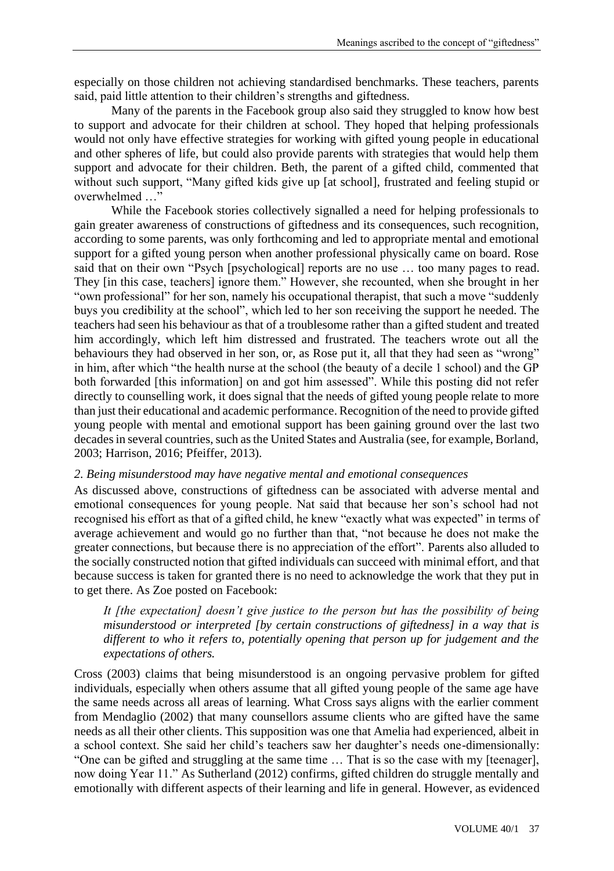especially on those children not achieving standardised benchmarks. These teachers, parents said, paid little attention to their children's strengths and giftedness.

Many of the parents in the Facebook group also said they struggled to know how best to support and advocate for their children at school. They hoped that helping professionals would not only have effective strategies for working with gifted young people in educational and other spheres of life, but could also provide parents with strategies that would help them support and advocate for their children. Beth, the parent of a gifted child, commented that without such support, "Many gifted kids give up [at school], frustrated and feeling stupid or overwhelmed ...

While the Facebook stories collectively signalled a need for helping professionals to gain greater awareness of constructions of giftedness and its consequences, such recognition, according to some parents, was only forthcoming and led to appropriate mental and emotional support for a gifted young person when another professional physically came on board. Rose said that on their own "Psych [psychological] reports are no use … too many pages to read. They [in this case, teachers] ignore them." However, she recounted, when she brought in her "own professional" for her son, namely his occupational therapist, that such a move "suddenly buys you credibility at the school", which led to her son receiving the support he needed. The teachers had seen his behaviour as that of a troublesome rather than a gifted student and treated him accordingly, which left him distressed and frustrated. The teachers wrote out all the behaviours they had observed in her son, or, as Rose put it, all that they had seen as "wrong" in him, after which "the health nurse at the school (the beauty of a decile 1 school) and the GP both forwarded [this information] on and got him assessed". While this posting did not refer directly to counselling work, it does signal that the needs of gifted young people relate to more than just their educational and academic performance. Recognition of the need to provide gifted young people with mental and emotional support has been gaining ground over the last two decades in several countries, such as the United States and Australia (see, for example, Borland, 2003; Harrison, 2016; Pfeiffer, 2013).

## *2. Being misunderstood may have negative mental and emotional consequences*

As discussed above, constructions of giftedness can be associated with adverse mental and emotional consequences for young people. Nat said that because her son's school had not recognised his effort as that of a gifted child, he knew "exactly what was expected" in terms of average achievement and would go no further than that, "not because he does not make the greater connections, but because there is no appreciation of the effort". Parents also alluded to the socially constructed notion that gifted individuals can succeed with minimal effort, and that because success is taken for granted there is no need to acknowledge the work that they put in to get there. As Zoe posted on Facebook:

# *It [the expectation] doesn't give justice to the person but has the possibility of being misunderstood or interpreted [by certain constructions of giftedness] in a way that is different to who it refers to, potentially opening that person up for judgement and the expectations of others.*

Cross (2003) claims that being misunderstood is an ongoing pervasive problem for gifted individuals, especially when others assume that all gifted young people of the same age have the same needs across all areas of learning. What Cross says aligns with the earlier comment from Mendaglio (2002) that many counsellors assume clients who are gifted have the same needs as all their other clients. This supposition was one that Amelia had experienced, albeit in a school context. She said her child's teachers saw her daughter's needs one-dimensionally: "One can be gifted and struggling at the same time … That is so the case with my [teenager], now doing Year 11." As Sutherland (2012) confirms, gifted children do struggle mentally and emotionally with different aspects of their learning and life in general. However, as evidenced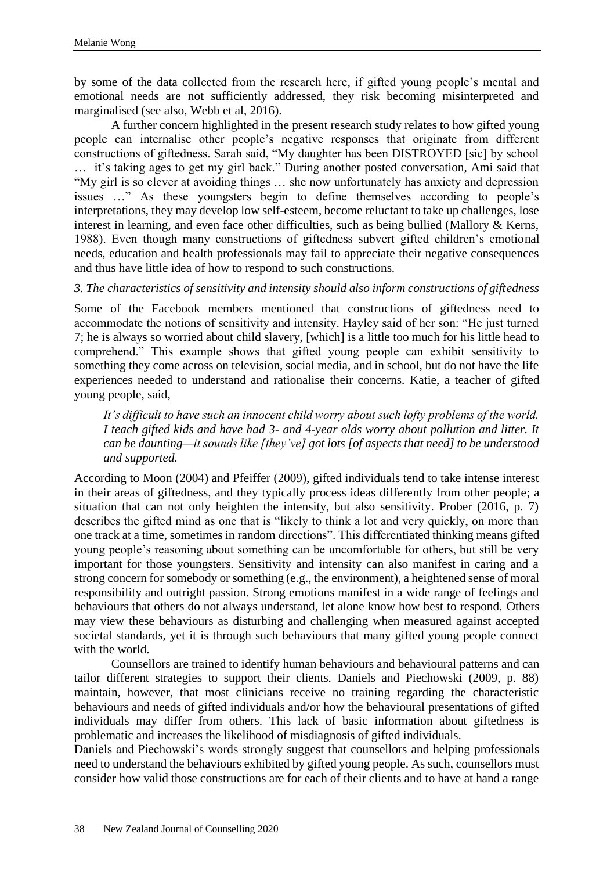by some of the data collected from the research here, if gifted young people's mental and emotional needs are not sufficiently addressed, they risk becoming misinterpreted and marginalised (see also, Webb et al, 2016).

A further concern highlighted in the present research study relates to how gifted young people can internalise other people's negative responses that originate from different constructions of giftedness. Sarah said, "My daughter has been DISTROYED [sic] by school … it's taking ages to get my girl back." During another posted conversation, Ami said that "My girl is so clever at avoiding things … she now unfortunately has anxiety and depression issues …" As these youngsters begin to define themselves according to people's interpretations, they may develop low self-esteem, become reluctant to take up challenges, lose interest in learning, and even face other difficulties, such as being bullied (Mallory & Kerns, 1988). Even though many constructions of giftedness subvert gifted children's emotional needs, education and health professionals may fail to appreciate their negative consequences and thus have little idea of how to respond to such constructions.

*3. The characteristics of sensitivity and intensity should also inform constructions of giftedness*

Some of the Facebook members mentioned that constructions of giftedness need to accommodate the notions of sensitivity and intensity. Hayley said of her son: "He just turned 7; he is always so worried about child slavery, [which] is a little too much for his little head to comprehend." This example shows that gifted young people can exhibit sensitivity to something they come across on television, social media, and in school, but do not have the life experiences needed to understand and rationalise their concerns. Katie, a teacher of gifted young people, said,

*It's difficult to have such an innocent child worry about such lofty problems of the world. I teach gifted kids and have had 3- and 4-year olds worry about pollution and litter. It can be daunting—it sounds like [they've] got lots [of aspects that need] to be understood and supported.*

According to Moon (2004) and Pfeiffer (2009), gifted individuals tend to take intense interest in their areas of giftedness, and they typically process ideas differently from other people; a situation that can not only heighten the intensity, but also sensitivity. Prober (2016, p. 7) describes the gifted mind as one that is "likely to think a lot and very quickly, on more than one track at a time, sometimes in random directions". This differentiated thinking means gifted young people's reasoning about something can be uncomfortable for others, but still be very important for those youngsters. Sensitivity and intensity can also manifest in caring and a strong concern for somebody or something (e.g., the environment), a heightened sense of moral responsibility and outright passion. Strong emotions manifest in a wide range of feelings and behaviours that others do not always understand, let alone know how best to respond. Others may view these behaviours as disturbing and challenging when measured against accepted societal standards, yet it is through such behaviours that many gifted young people connect with the world.

Counsellors are trained to identify human behaviours and behavioural patterns and can tailor different strategies to support their clients. Daniels and Piechowski (2009, p. 88) maintain, however, that most clinicians receive no training regarding the characteristic behaviours and needs of gifted individuals and/or how the behavioural presentations of gifted individuals may differ from others. This lack of basic information about giftedness is problematic and increases the likelihood of misdiagnosis of gifted individuals.

Daniels and Piechowski's words strongly suggest that counsellors and helping professionals need to understand the behaviours exhibited by gifted young people. As such, counsellors must consider how valid those constructions are for each of their clients and to have at hand a range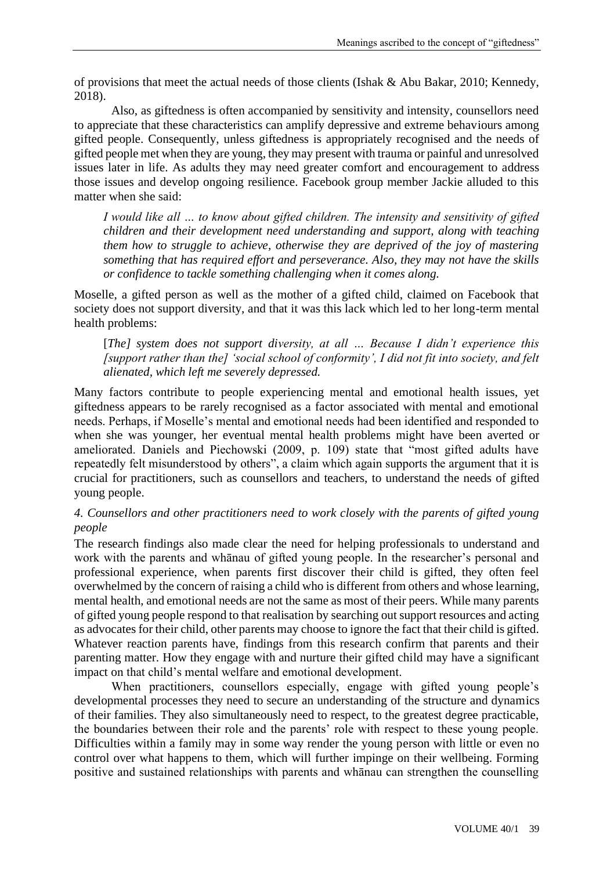of provisions that meet the actual needs of those clients (Ishak & Abu Bakar, 2010; Kennedy, 2018).

Also, as giftedness is often accompanied by sensitivity and intensity, counsellors need to appreciate that these characteristics can amplify depressive and extreme behaviours among gifted people. Consequently, unless giftedness is appropriately recognised and the needs of gifted people met when they are young, they may present with trauma or painful and unresolved issues later in life. As adults they may need greater comfort and encouragement to address those issues and develop ongoing resilience. Facebook group member Jackie alluded to this matter when she said:

*I would like all … to know about gifted children. The intensity and sensitivity of gifted children and their development need understanding and support, along with teaching them how to struggle to achieve, otherwise they are deprived of the joy of mastering something that has required effort and perseverance. Also, they may not have the skills or confidence to tackle something challenging when it comes along.*

Moselle, a gifted person as well as the mother of a gifted child, claimed on Facebook that society does not support diversity, and that it was this lack which led to her long-term mental health problems:

[*The] system does not support diversity, at all … Because I didn't experience this [support rather than the] 'social school of conformity', I did not fit into society, and felt alienated, which left me severely depressed.*

Many factors contribute to people experiencing mental and emotional health issues, yet giftedness appears to be rarely recognised as a factor associated with mental and emotional needs. Perhaps, if Moselle's mental and emotional needs had been identified and responded to when she was younger, her eventual mental health problems might have been averted or ameliorated. Daniels and Piechowski (2009, p. 109) state that "most gifted adults have repeatedly felt misunderstood by others", a claim which again supports the argument that it is crucial for practitioners, such as counsellors and teachers, to understand the needs of gifted young people.

*4. Counsellors and other practitioners need to work closely with the parents of gifted young people*

The research findings also made clear the need for helping professionals to understand and work with the parents and whānau of gifted young people. In the researcher's personal and professional experience, when parents first discover their child is gifted, they often feel overwhelmed by the concern of raising a child who is different from others and whose learning, mental health, and emotional needs are not the same as most of their peers. While many parents of gifted young people respond to that realisation by searching out support resources and acting as advocates for their child, other parents may choose to ignore the fact that their child is gifted. Whatever reaction parents have, findings from this research confirm that parents and their parenting matter. How they engage with and nurture their gifted child may have a significant impact on that child's mental welfare and emotional development.

When practitioners, counsellors especially, engage with gifted young people's developmental processes they need to secure an understanding of the structure and dynamics of their families. They also simultaneously need to respect, to the greatest degree practicable, the boundaries between their role and the parents' role with respect to these young people. Difficulties within a family may in some way render the young person with little or even no control over what happens to them, which will further impinge on their wellbeing. Forming positive and sustained relationships with parents and whānau can strengthen the counselling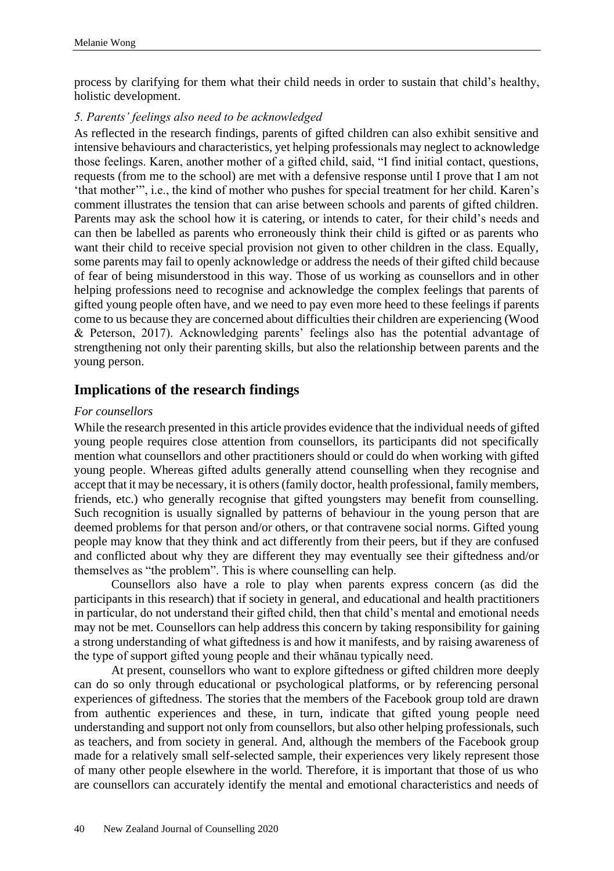process by clarifying for them what their child needs in order to sustain that child's healthy, holistic development.

## *5. Parents' feelings also need to be acknowledged*

As reflected in the research findings, parents of gifted children can also exhibit sensitive and intensive behaviours and characteristics, yet helping professionals may neglect to acknowledge those feelings. Karen, another mother of a gifted child, said, "I find initial contact, questions, requests (from me to the school) are met with a defensive response until I prove that I am not 'that mother'", i.e., the kind of mother who pushes for special treatment for her child. Karen's comment illustrates the tension that can arise between schools and parents of gifted children. Parents may ask the school how it is catering, or intends to cater, for their child's needs and can then be labelled as parents who erroneously think their child is gifted or as parents who want their child to receive special provision not given to other children in the class. Equally, some parents may fail to openly acknowledge or address the needs of their gifted child because of fear of being misunderstood in this way. Those of us working as counsellors and in other helping professions need to recognise and acknowledge the complex feelings that parents of gifted young people often have, and we need to pay even more heed to these feelings if parents come to us because they are concerned about difficulties their children are experiencing (Wood & Peterson, 2017). Acknowledging parents' feelings also has the potential advantage of strengthening not only their parenting skills, but also the relationship between parents and the young person.

# **Implications of the research findings**

#### *For counsellors*

While the research presented in this article provides evidence that the individual needs of gifted young people requires close attention from counsellors, its participants did not specifically mention what counsellors and other practitioners should or could do when working with gifted young people. Whereas gifted adults generally attend counselling when they recognise and accept that it may be necessary, it is others (family doctor, health professional, family members, friends, etc.) who generally recognise that gifted youngsters may benefit from counselling. Such recognition is usually signalled by patterns of behaviour in the young person that are deemed problems for that person and/or others, or that contravene social norms. Gifted young people may know that they think and act differently from their peers, but if they are confused and conflicted about why they are different they may eventually see their giftedness and/or themselves as "the problem". This is where counselling can help.

Counsellors also have a role to play when parents express concern (as did the participants in this research) that if society in general, and educational and health practitioners in particular, do not understand their gifted child, then that child's mental and emotional needs may not be met. Counsellors can help address this concern by taking responsibility for gaining a strong understanding of what giftedness is and how it manifests, and by raising awareness of the type of support gifted young people and their whānau typically need.

At present, counsellors who want to explore giftedness or gifted children more deeply can do so only through educational or psychological platforms, or by referencing personal experiences of giftedness. The stories that the members of the Facebook group told are drawn from authentic experiences and these, in turn, indicate that gifted young people need understanding and support not only from counsellors, but also other helping professionals, such as teachers, and from society in general. And, although the members of the Facebook group made for a relatively small self-selected sample, their experiences very likely represent those of many other people elsewhere in the world. Therefore, it is important that those of us who are counsellors can accurately identify the mental and emotional characteristics and needs of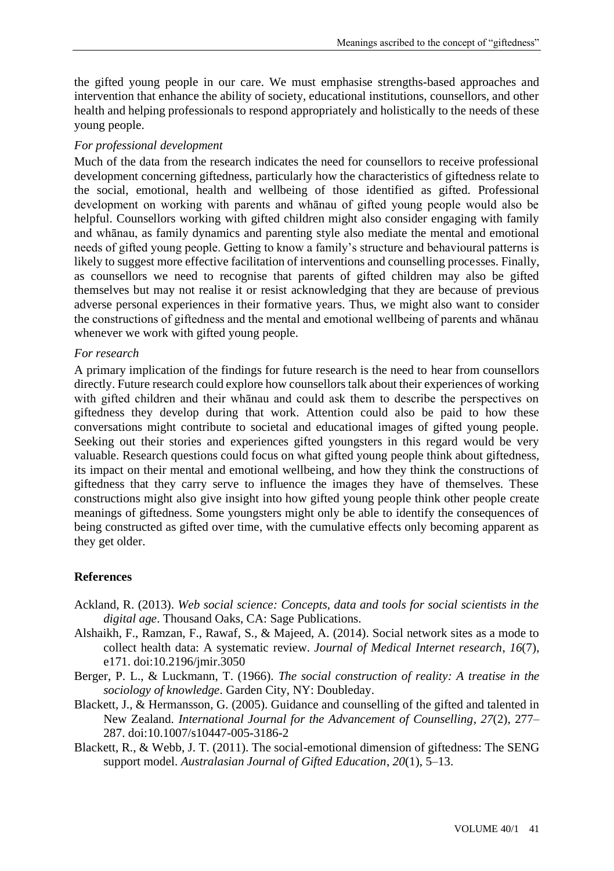the gifted young people in our care. We must emphasise strengths-based approaches and intervention that enhance the ability of society, educational institutions, counsellors, and other health and helping professionals to respond appropriately and holistically to the needs of these young people.

## *For professional development*

Much of the data from the research indicates the need for counsellors to receive professional development concerning giftedness, particularly how the characteristics of giftedness relate to the social, emotional, health and wellbeing of those identified as gifted. Professional development on working with parents and whānau of gifted young people would also be helpful. Counsellors working with gifted children might also consider engaging with family and whānau, as family dynamics and parenting style also mediate the mental and emotional needs of gifted young people. Getting to know a family's structure and behavioural patterns is likely to suggest more effective facilitation of interventions and counselling processes. Finally, as counsellors we need to recognise that parents of gifted children may also be gifted themselves but may not realise it or resist acknowledging that they are because of previous adverse personal experiences in their formative years. Thus, we might also want to consider the constructions of giftedness and the mental and emotional wellbeing of parents and whānau whenever we work with gifted young people.

## *For research*

A primary implication of the findings for future research is the need to hear from counsellors directly. Future research could explore how counsellors talk about their experiences of working with gifted children and their whānau and could ask them to describe the perspectives on giftedness they develop during that work. Attention could also be paid to how these conversations might contribute to societal and educational images of gifted young people. Seeking out their stories and experiences gifted youngsters in this regard would be very valuable. Research questions could focus on what gifted young people think about giftedness, its impact on their mental and emotional wellbeing, and how they think the constructions of giftedness that they carry serve to influence the images they have of themselves. These constructions might also give insight into how gifted young people think other people create meanings of giftedness. Some youngsters might only be able to identify the consequences of being constructed as gifted over time, with the cumulative effects only becoming apparent as they get older.

# **References**

- Ackland, R. (2013). *Web social science: Concepts, data and tools for social scientists in the digital age*. Thousand Oaks, CA: Sage Publications.
- Alshaikh, F., Ramzan, F., Rawaf, S., & Majeed, A. (2014). Social network sites as a mode to collect health data: A systematic review. *Journal of Medical Internet research*, *16*(7), e171. doi:10.2196/jmir.3050
- Berger, P. L., & Luckmann, T. (1966). *The social construction of reality: A treatise in the sociology of knowledge*. Garden City, NY: Doubleday.
- Blackett, J., & Hermansson, G. (2005). Guidance and counselling of the gifted and talented in New Zealand. *International Journal for the Advancement of Counselling*, *27*(2), 277– 287. doi:10.1007/s10447-005-3186-2
- Blackett, R., & Webb, J. T. (2011). The social-emotional dimension of giftedness: The SENG support model. *Australasian Journal of Gifted Education*, *20*(1), 5–13.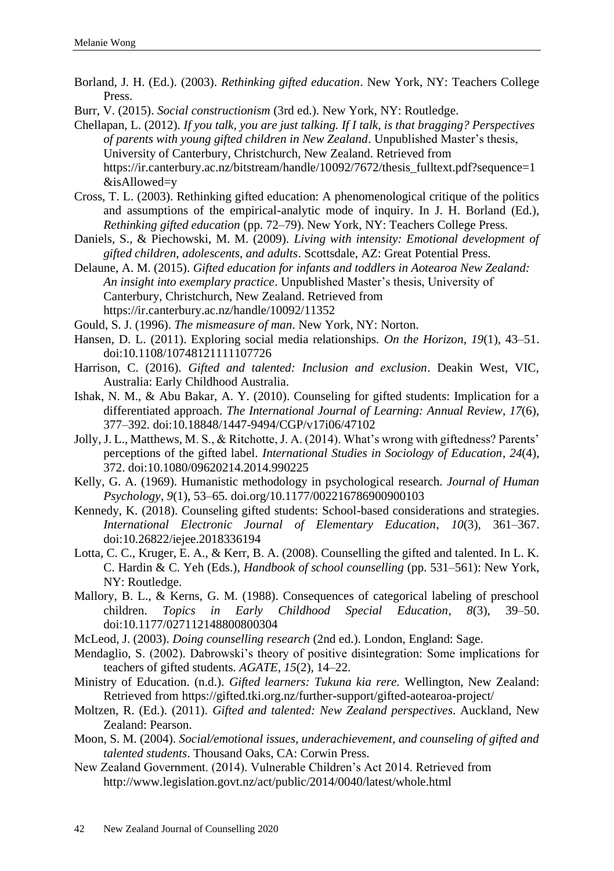- Borland, J. H. (Ed.). (2003). *Rethinking gifted education*. New York, NY: Teachers College Press.
- Burr, V. (2015). *Social constructionism* (3rd ed.). New York, NY: Routledge.
- Chellapan, L. (2012). *If you talk, you are just talking. If I talk, is that bragging? Perspectives of parents with young gifted children in New Zealand*. Unpublished Master's thesis, University of Canterbury, Christchurch, New Zealand. Retrieved from [https://ir.canterbury.ac.nz/bitstream/handle/10092/7672/thesis\\_fulltext.pdf?sequence=1](https://ir.canterbury.ac.nz/bitstream/handle/10092/7672/thesis_fulltext.pdf?sequence=1&isAllowed=y) [&isAllowed=y](https://ir.canterbury.ac.nz/bitstream/handle/10092/7672/thesis_fulltext.pdf?sequence=1&isAllowed=y)
- Cross, T. L. (2003). Rethinking gifted education: A phenomenological critique of the politics and assumptions of the empirical-analytic mode of inquiry. In J. H. Borland (Ed.), *Rethinking gifted education* (pp. 72–79). New York, NY: Teachers College Press.
- Daniels, S., & Piechowski, M. M. (2009). *Living with intensity: Emotional development of gifted children, adolescents, and adults*. Scottsdale, AZ: Great Potential Press.
- Delaune, A. M. (2015). *Gifted education for infants and toddlers in Aotearoa New Zealand: An insight into exemplary practice*. Unpublished Master's thesis, University of Canterbury, Christchurch, New Zealand. Retrieved from <https://ir.canterbury.ac.nz/handle/10092/11352>
- Gould, S. J. (1996). *The mismeasure of man*. New York, NY: Norton.
- Hansen, D. L. (2011). Exploring social media relationships. *On the Horizon*, *19*(1), 43–51. doi:10.1108/10748121111107726
- Harrison, C. (2016). *Gifted and talented: Inclusion and exclusion*. Deakin West, VIC, Australia: Early Childhood Australia.
- Ishak, N. M., & Abu Bakar, A. Y. (2010). Counseling for gifted students: Implication for a differentiated approach. *The International Journal of Learning: Annual Review*, *17*(6), 377–392. doi:10.18848/1447-9494/CGP/v17i06/47102
- Jolly, J. L., Matthews, M. S., & Ritchotte, J. A. (2014). What's wrong with giftedness? Parents' perceptions of the gifted label. *International Studies in Sociology of Education*, *24*(4), 372. doi:10.1080/09620214.2014.990225
- Kelly, G. A. (1969). Humanistic methodology in psychological research. *Journal of Human Psychology*, *9*(1), 53–65. [doi.org/10.1177/002216786900900103](https://doi.org/10.1177%2F002216786900900103)
- Kennedy, K. (2018). Counseling gifted students: School-based considerations and strategies. *International Electronic Journal of Elementary Education*, *10*(3), 361–367. doi:10.26822/iejee.2018336194
- Lotta, C. C., Kruger, E. A., & Kerr, B. A. (2008). Counselling the gifted and talented. In L. K. C. Hardin & C. Yeh (Eds.), *Handbook of school counselling* (pp. 531–561): New York, NY: Routledge.
- Mallory, B. L., & Kerns, G. M. (1988). Consequences of categorical labeling of preschool children. *Topics in Early Childhood Special Education*, *8*(3), 39–50. doi:10.1177/027112148800800304
- McLeod, J. (2003). *Doing counselling research* (2nd ed.). London, England: Sage.
- Mendaglio, S. (2002). Dabrowski's theory of positive disintegration: Some implications for teachers of gifted students. *AGATE*, *15*(2), 14–22.
- Ministry of Education. (n.d.). *Gifted learners: Tukuna kia rere.* Wellington, New Zealand: Retrieved from<https://gifted.tki.org.nz/further-support/gifted-aotearoa-project/>
- Moltzen, R. (Ed.). (2011). *Gifted and talented: New Zealand perspectives*. Auckland, New Zealand: Pearson.
- Moon, S. M. (2004). *Social/emotional issues, underachievement, and counseling of gifted and talented students*. Thousand Oaks, CA: Corwin Press.
- New Zealand Government. (2014). Vulnerable Children's Act 2014. Retrieved from <http://www.legislation.govt.nz/act/public/2014/0040/latest/whole.html>